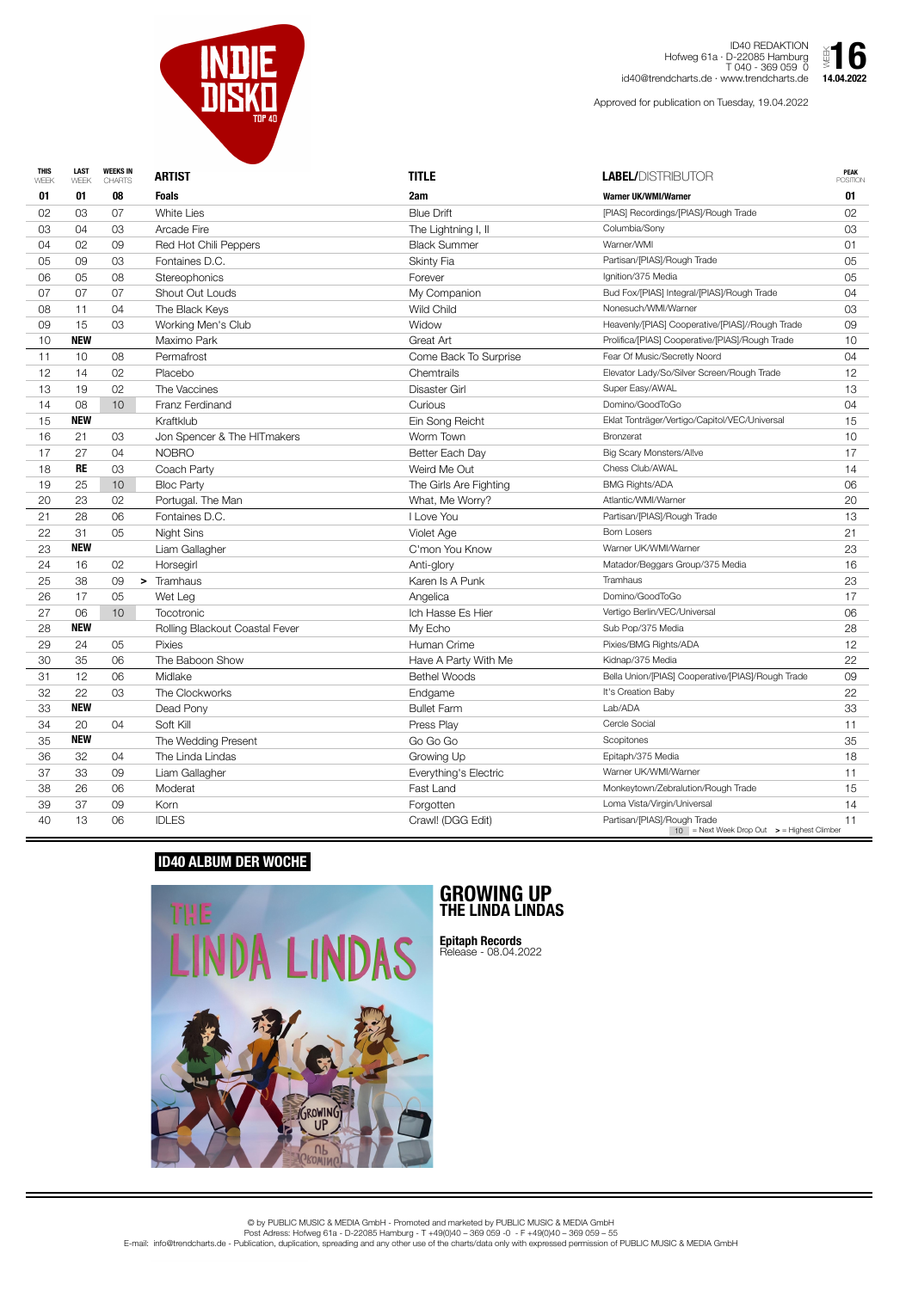

ID40 REDAKTION Hofweg 61a · D-22085 Hamburg T 040 - 369 059 0 id40@trendcharts.de · www.trendcharts.de  $\sum_{14.04.2022}$ 

| <b>THIS</b><br>WEEK | <b>LAST</b><br>WEEK | <b>WEEKS IN</b><br><b>CHARTS</b> | <b>ARTIST</b>                  | <b>TITLE</b>           | <b>LABEL/DISTRIBUTOR</b>                                                                 | <b>PEAK</b><br><b>POSITION</b> |
|---------------------|---------------------|----------------------------------|--------------------------------|------------------------|------------------------------------------------------------------------------------------|--------------------------------|
| 01                  | 01                  | 08                               | <b>Foals</b>                   | 2am                    | <b>Warner UK/WMI/Warner</b>                                                              | 01                             |
| 02                  | 03                  | 07                               | <b>White Lies</b>              | <b>Blue Drift</b>      | [PIAS] Recordings/[PIAS]/Rough Trade                                                     | 02                             |
| 03                  | 04                  | 03                               | <b>Arcade Fire</b>             | The Lightning I, II    | Columbia/Sony                                                                            | 03                             |
| 04                  | 02                  | 09                               | Red Hot Chili Peppers          | <b>Black Summer</b>    | Warner/WMI                                                                               | 01                             |
| 05                  | 09                  | 03                               | Fontaines D.C.                 | <b>Skinty Fia</b>      | Partisan/[PIAS]/Rough Trade                                                              | 05                             |
| 06                  | 05                  | 08                               | Stereophonics                  | Forever                | Ignition/375 Media                                                                       | 05                             |
| 07                  | 07                  | 07                               | <b>Shout Out Louds</b>         | My Companion           | Bud Fox/[PIAS] Integral/[PIAS]/Rough Trade                                               | 04                             |
| 08                  | 11                  | 04                               | The Black Keys                 | <b>Wild Child</b>      | Nonesuch/WMI/Warner                                                                      | 03                             |
| 09                  | 15                  | 03                               | Working Men's Club             | Widow                  | Heavenly/[PIAS] Cooperative/[PIAS]//Rough Trade                                          | 09                             |
| 10                  | <b>NEW</b>          |                                  | Maximo Park                    | Great Art              | Prolifica/[PIAS] Cooperative/[PIAS]/Rough Trade                                          | 10 <sup>°</sup>                |
| 11                  | 10                  | 08                               | Permafrost                     | Come Back To Surprise  | Fear Of Music/Secretly Noord                                                             | 04                             |
| 12                  | 14                  | 02                               | Placebo                        | Chemtrails             | Elevator Lady/So/Silver Screen/Rough Trade                                               | 12 <sup>°</sup>                |
| 13                  | 19                  | 02                               | The Vaccines                   | <b>Disaster Girl</b>   | Super Easy/AWAL                                                                          | 13                             |
| 14                  | 08                  | 10                               | Franz Ferdinand                | Curious                | Domino/GoodToGo                                                                          | 04                             |
| 15                  | <b>NEW</b>          |                                  | Kraftklub                      | Ein Song Reicht        | Eklat Tonträger/Vertigo/Capitol/VEC/Universal                                            | 15                             |
| 16                  | 21                  | 03                               | Jon Spencer & The HITmakers    | Worm Town              | <b>Bronzerat</b>                                                                         | 10                             |
| 17                  | 27                  | 04                               | <b>NOBRO</b>                   | Better Each Day        | <b>Big Scary Monsters/Allve</b>                                                          | 17                             |
| 18                  | <b>RE</b>           | 03                               | Coach Party                    | Weird Me Out           | Chess Club/AWAL                                                                          | 14                             |
| 19                  | 25                  | 10                               | <b>Bloc Party</b>              | The Girls Are Fighting | <b>BMG Rights/ADA</b>                                                                    | 06                             |
| 20                  | 23                  | 02                               | Portugal. The Man              | What, Me Worry?        | Atlantic/WMI/Warner                                                                      | 20                             |
| 21                  | 28                  | 06                               | Fontaines D.C.                 | I Love You             | Partisan/[PIAS]/Rough Trade                                                              | 13                             |
| 22                  | 31                  | 05                               | Night Sins                     | Violet Age             | <b>Born Losers</b>                                                                       | 21                             |
| 23                  | <b>NEW</b>          |                                  | Liam Gallagher                 | C'mon You Know         | Warner UK/WMI/Warner                                                                     | 23                             |
| 24                  | 16                  | 02                               | Horsegirl                      | Anti-glory             | Matador/Beggars Group/375 Media                                                          | 16                             |
| 25                  | 38                  | 09                               | Tramhaus<br>➤                  | Karen Is A Punk        | <b>Tramhaus</b>                                                                          | 23                             |
| 26                  | 17                  | 05                               | Wet Leg                        | Angelica               | Domino/GoodToGo                                                                          | 17                             |
| 27                  | 06                  | 10 <sup>°</sup>                  | <b>Tocotronic</b>              | Ich Hasse Es Hier      | Vertigo Berlin/VEC/Universal                                                             | 06                             |
| 28                  | <b>NEW</b>          |                                  | Rolling Blackout Coastal Fever | My Echo                | Sub Pop/375 Media                                                                        | 28                             |
| 29                  | 24                  | 05                               | <b>Pixies</b>                  | Human Crime            | Pixies/BMG Rights/ADA                                                                    | 12                             |
| 30                  | 35                  | 06                               | The Baboon Show                | Have A Party With Me   | Kidnap/375 Media                                                                         | 22                             |
| 31                  | 12                  | 06                               | Midlake                        | <b>Bethel Woods</b>    | Bella Union/[PIAS] Cooperative/[PIAS]/Rough Trade                                        | 09                             |
| 32                  | 22                  | 03                               | The Clockworks                 | Endgame                | It's Creation Baby                                                                       | 22                             |
| 33                  | <b>NEW</b>          |                                  | Dead Pony                      | <b>Bullet Farm</b>     | Lab/ADA                                                                                  | 33                             |
| 34                  | 20                  | 04                               | Soft Kill                      | Press Play             | Cercle Social                                                                            | 11                             |
| 35                  | <b>NEW</b>          |                                  | The Wedding Present            | Go Go Go               | Scopitones                                                                               | 35                             |
| 36                  | 32                  | 04                               | The Linda Lindas               | Growing Up             | Epitaph/375 Media                                                                        | 18                             |
| 37                  | 33                  | 09                               | Liam Gallagher                 | Everything's Electric  | Warner UK/WMI/Warner                                                                     | 11                             |
| 38                  | 26                  | 06                               | Moderat                        | Fast Land              | Monkeytown/Zebralution/Rough Trade                                                       | 15                             |
| 39                  | 37                  | 09                               | Korn                           | Forgotten              | Loma Vista/Virgin/Universal                                                              | 14                             |
| 40                  | 13                  | 06                               | <b>IDLES</b>                   | Crawl! (DGG Edit)      | Partisan/[PIAS]/Rough Trade<br>$10$ = Next Week Drop Out $\rightarrow$ = Highest Climber | 11                             |



## **ID40 ALBUM DER WOCHE**



## **GROWING UP THE LINDA LINDAS**

**Epitaph Records** Release - 08.04.2022